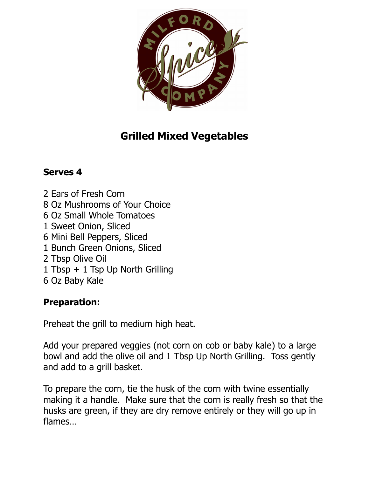

## **Grilled Mixed Vegetables**

## **Serves 4**

2 Ears of Fresh Corn 8 Oz Mushrooms of Your Choice 6 Oz Small Whole Tomatoes 1 Sweet Onion, Sliced 6 Mini Bell Peppers, Sliced 1 Bunch Green Onions, Sliced 2 Tbsp Olive Oil 1 Tbsp + 1 Tsp Up North Grilling 6 Oz Baby Kale

## **Preparation:**

Preheat the grill to medium high heat.

Add your prepared veggies (not corn on cob or baby kale) to a large bowl and add the olive oil and 1 Tbsp Up North Grilling. Toss gently and add to a grill basket.

To prepare the corn, tie the husk of the corn with twine essentially making it a handle. Make sure that the corn is really fresh so that the husks are green, if they are dry remove entirely or they will go up in flames…